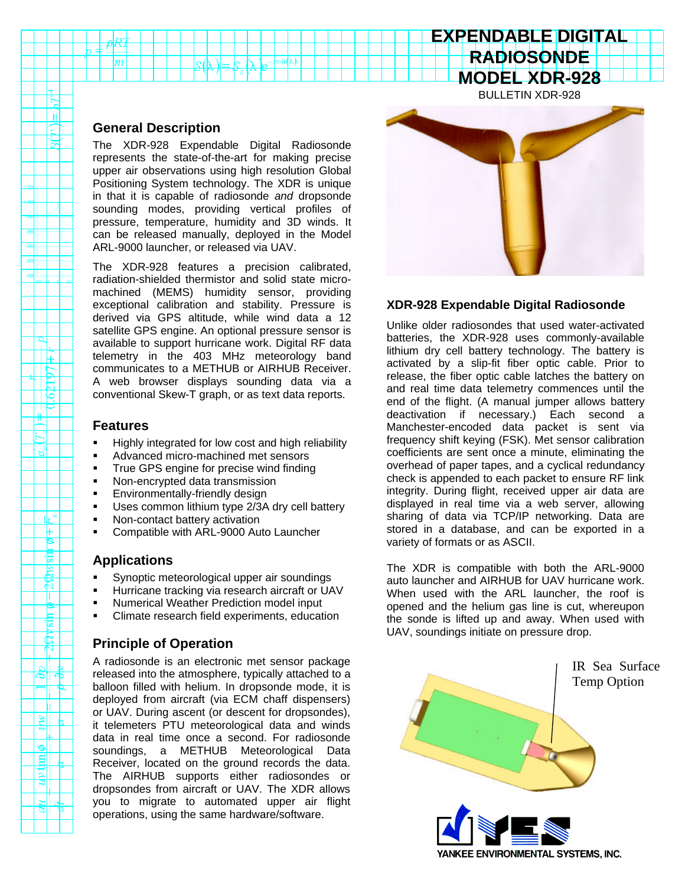### **General Description**

 $|m|$ 

Lш

1F  $\frac{1}{\sqrt{2}}$  $\Box$ e <u>lip</u> ╥

 $\sigma_{\rm s}$ 

╓┞╳ F ۴ 惕  $\mathbb{R}$ प्ति Τ E -ब्र **REAL** 

আ

- h  $\mathbb{R}$ 

⊩ای E

sli षा The XDR-928 Expendable Digital Radiosonde represents the state-of-the-art for making precise upper air observations using high resolution Global Positioning System technology. The XDR is unique in that it is capable of radiosonde *and* dropsonde sounding modes, providing vertical profiles of pressure, temperature, humidity and 3D winds. It can be released manually, deployed in the Model ARL-9000 launcher, or released via UAV.

 $\mathcal{N}$   $\sim$   $\mathcal{N}$   $\sim$   $\mathcal{N}$   $\sim$   $\mathcal{N}$   $\sim$   $\mathcal{N}$ 

The XDR-928 features a precision calibrated, radiation-shielded thermistor and solid state micromachined (MEMS) humidity sensor, providing exceptional calibration and stability. Pressure is derived via GPS altitude, while wind data a 12 satellite GPS engine. An optional pressure sensor is available to support hurricane work. Digital RF data telemetry in the 403 MHz meteorology band communicates to a METHUB or AIRHUB Receiver. A web browser displays sounding data via a conventional Skew-T graph, or as text data reports.

### **Features**

- ß Highly integrated for low cost and high reliability
- ß Advanced micro-machined met sensors
- ß True GPS engine for precise wind finding
- Non-encrypted data transmission
- ß Environmentally-friendly design
- **Uses common lithium type 2/3A dry cell battery**
- Non-contact battery activation
- ß Compatible with ARL-9000 Auto Launcher

## **Applications**

- ß Synoptic meteorological upper air soundings
- ß Hurricane tracking via research aircraft or UAV
- ß Numerical Weather Prediction model input
- ß Climate research field experiments, education

# **Principle of Operation**

A radiosonde is an electronic met sensor package released into the atmosphere, typically attached to a balloon filled with helium. In dropsonde mode, it is deployed from aircraft (via ECM chaff dispensers) or UAV. During ascent (or descent for dropsondes), it telemeters PTU meteorological data and winds data in real time once a second. For radiosonde soundings, a METHUB Meteorological Data Receiver, located on the ground records the data. The AIRHUB supports either radiosondes or dropsondes from aircraft or UAV. The XDR allows you to migrate to automated upper air flight operations, using the same hardware/software.



**EXPENDABLE DIGITAL RADIOSONDE**

### **XDR-928 Expendable Digital Radiosonde**

Unlike older radiosondes that used water-activated batteries, the XDR-928 uses commonly-available lithium dry cell battery technology. The battery is activated by a slip-fit fiber optic cable. Prior to release, the fiber optic cable latches the battery on and real time data telemetry commences until the end of the flight. (A manual jumper allows battery deactivation if necessary.) Each second a Manchester-encoded data packet is sent via frequency shift keying (FSK). Met sensor calibration coefficients are sent once a minute, eliminating the overhead of paper tapes, and a cyclical redundancy check is appended to each packet to ensure RF link integrity. During flight, received upper air data are displayed in real time via a web server, allowing sharing of data via TCP/IP networking. Data are stored in a database, and can be exported in a variety of formats or as ASCII.

The XDR is compatible with both the ARL-9000 auto launcher and AIRHUB for UAV hurricane work. When used with the ARL launcher, the roof is opened and the helium gas line is cut, whereupon the sonde is lifted up and away. When used with UAV, soundings initiate on pressure drop.



YANKEE ENVIRONMENTAL SYSTEMS, INC.

IR Sea Surface Temp Option